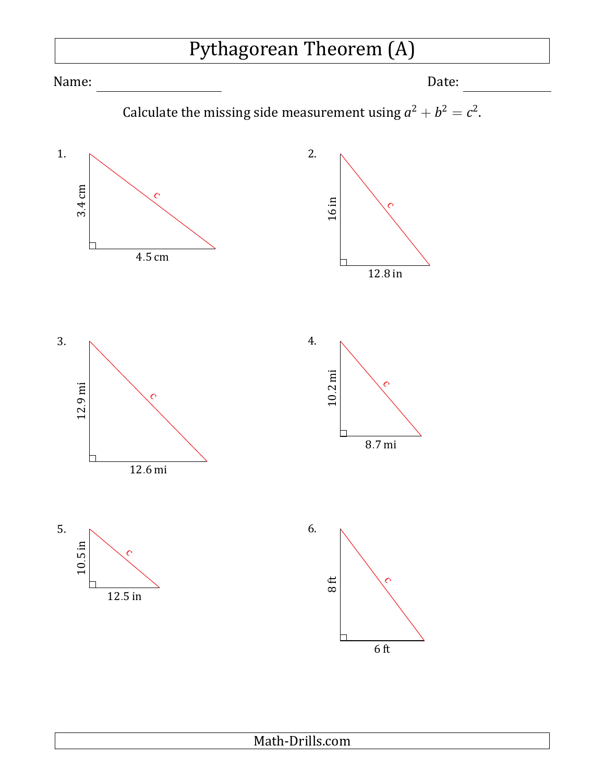